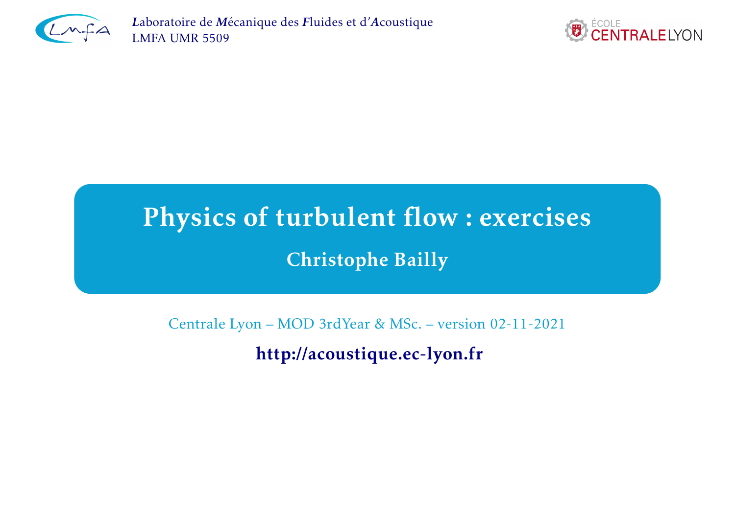

*<sup>L</sup>*aboratoire de *<sup>M</sup>*écanique des *<sup>F</sup>*luides et d'*A*[coustique](http://lmfa.ec-lyon.fr/) [LMFA](http://lmfa.ec-lyon.fr/) UMR <sup>5509</sup>



# Physics of turbulent flow : exercises

Christophe Bailly

Centrale Lyon – MOD 3rdYear & MSc. – version 02-11-2021

<http://acoustique.ec-lyon.fr>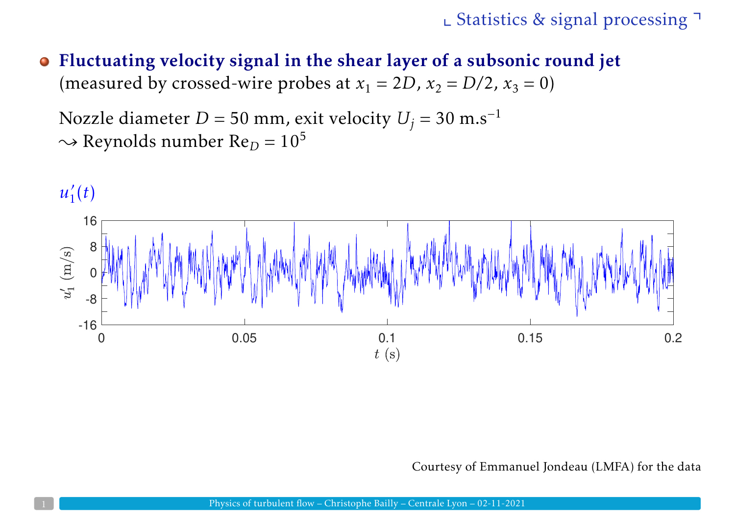Fluctuating velocity signal in the shear layer of <sup>a</sup> subsonic round jet  $\bullet$ (measured by crossed-wire probes at  $x_1 = 2D$ ,  $x_2 = D/2$ ,  $x_3 = 0$ )

Nozzle diameter *D* = 50 mm, exit velocity *U*<sup>*j*</sup> = 30 m.s<sup>-1</sup>  $\sim$  Reynolds number Re<sub>D</sub> = 10<sup>5</sup>



Courtesy of Emmanuel Jondeau (LMFA) for the data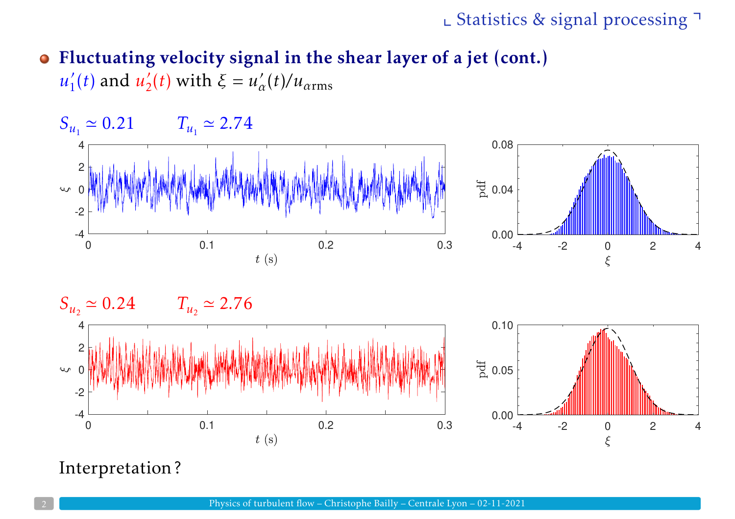# Fluctuating velocity signal in the shear layer of <sup>a</sup> jet (cont.)  $u'_{1}(t)$  and  $u'_{2}(t)$  with  $\xi = u'_{\alpha}(t)/u_{\alpha \text{rms}}$







### Interpretation ?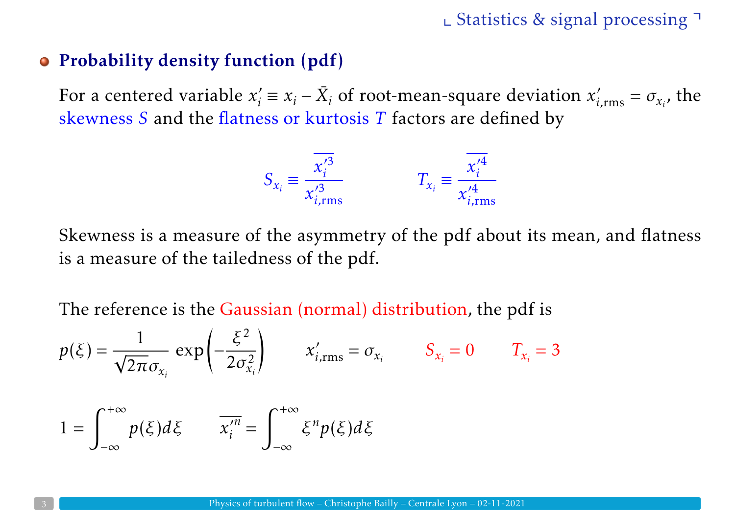### Probability density function (pdf)

For a centered variable  $x'_i \equiv x_i - \bar{X}_i$  of root-mean-square deviation  $x'_{i,\text{rms}} = \sigma_{x_i}$ , the skewness *<sup>S</sup>* and the flatness or kurtosis *<sup>T</sup>* factors are defined by

$$
S_{x_i} \equiv \frac{x_i'^3}{x_{i,\text{rms}}'^3} \qquad T_{x_i} \equiv \frac{x_i'^4}{x_{i,\text{rms}}'^4}
$$

Skewness is <sup>a</sup> measure of the asymmetry of the <sup>p</sup>df about its mean, and flatness is <sup>a</sup> measure of the tailedness of the <sup>p</sup>df.

The reference is the Gaussian (normal) distribution, the <sup>p</sup>df is

$$
p(\xi) = \frac{1}{\sqrt{2\pi}\sigma_{x_i}} \exp\left(-\frac{\xi^2}{2\sigma_{x_i}^2}\right) \qquad x'_{i,\text{rms}} = \sigma_{x_i} \qquad S_{x_i} = 0 \qquad T_{x_i} = 3
$$

$$
1 = \int_{-\infty}^{+\infty} p(\xi) d\xi \qquad \overline{x_i^{\prime n}} = \int_{-\infty}^{+\infty} \xi^n p(\xi) d\xi
$$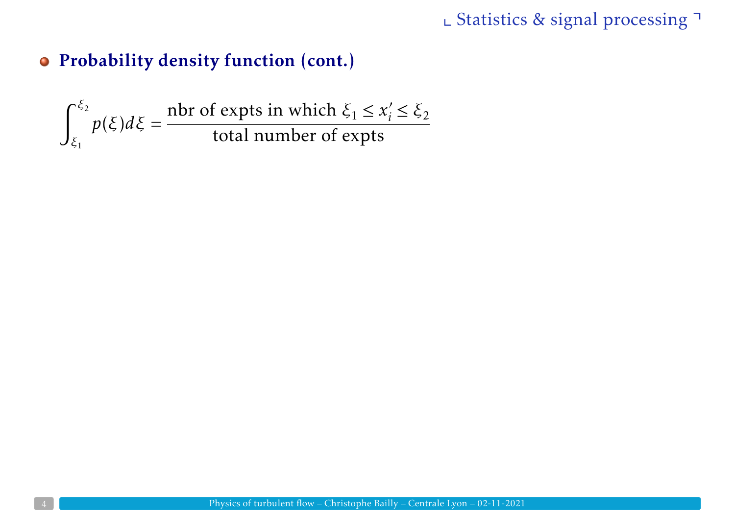# Probability density function (cont.)

$$
\int_{\xi_1}^{\xi_2} p(\xi) d\xi = \frac{\text{nbr of expts in which } \xi_1 \le x'_i \le \xi_2}{\text{total number of expts}}
$$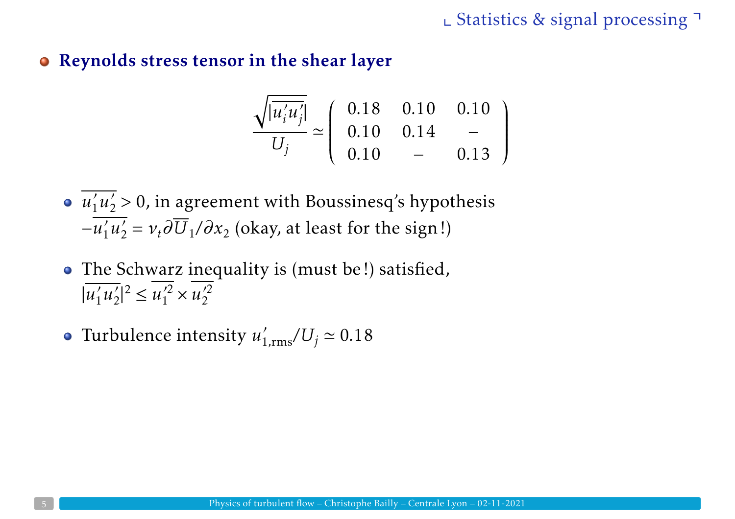Reynolds stress tensor in the shear layer

$$
\frac{\sqrt{|u'_i u'_j|}}{U_j} \simeq \begin{pmatrix} 0.18 & 0.10 & 0.10 \\ 0.10 & 0.14 & - \\ 0.10 & - & 0.13 \end{pmatrix}
$$

- *<sup>u</sup>*′1*u*′2 *<sup>&</sup>gt;* 0, in agreemen<sup>t</sup> with Boussinesq's hypothesis  $-u'_1u'_2 = v_t\partial U_1/\partial x_2$  (okay, at least for the sign!)
- The Schwarz inequality is (must be!) satisfied,  $|u'_1 u'_2|^2 \leq u'^2_1 \times u'^2_2$
- Turbulence intensity  $u'_{1,\rm rms}/U_j \simeq 0.18$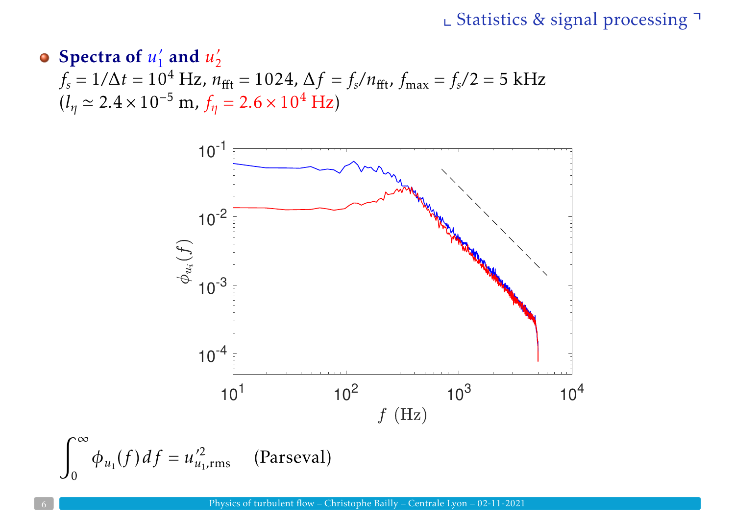# Spectra of  $u'_1$  and  $u'_2$  $f_s = 1/\Delta t = 10^4$  Hz,  $n_{\text{fft}} = 1024$ ,  $\Delta f = f_s/n_{\text{fft}}$ ,  $f_{\text{max}} = f_s/2 = 5$  kHz  $(l_{\eta} \simeq 2.4 \times 10^{-5} \text{ m}, f_{\eta} = 2.6 \times 10^{4} \text{ Hz})$

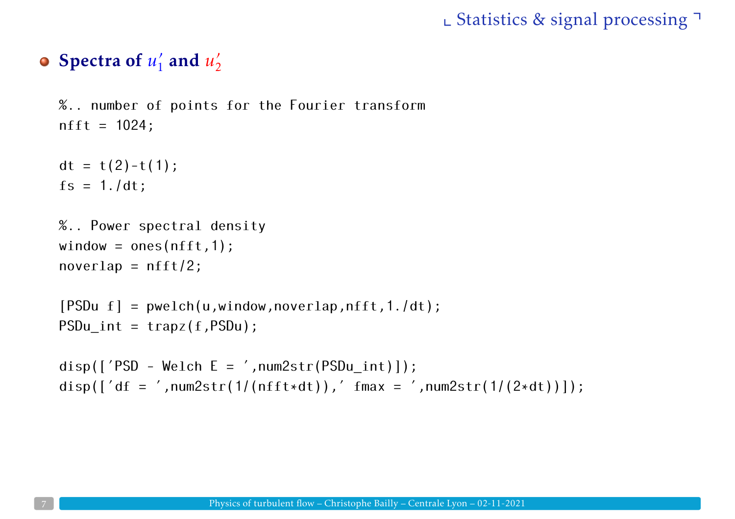# Spectra of  $u'_1$  and  $u'_2$

```
%.. number of points for the Fourier transform
nfft = 1024;
```

```
dt = t(2)-t(1);
fs = 1./dt;
```

```
%.. Power spectral density
window = ones(nfft,1);
noverlap = nfft/2;
```

```
[PSDu f] = pwelch(u, window, noverlap,nfft, 1./dt);PSDu int = trapz(f,PSDu);
```

```
disp(['PSD - Welch E = ', num2str(PSDu_info));
disp(\lceil'df = ',num2str(1/(nfft*dt)),' fmax = ',num2str(1/(2*dt))]);
```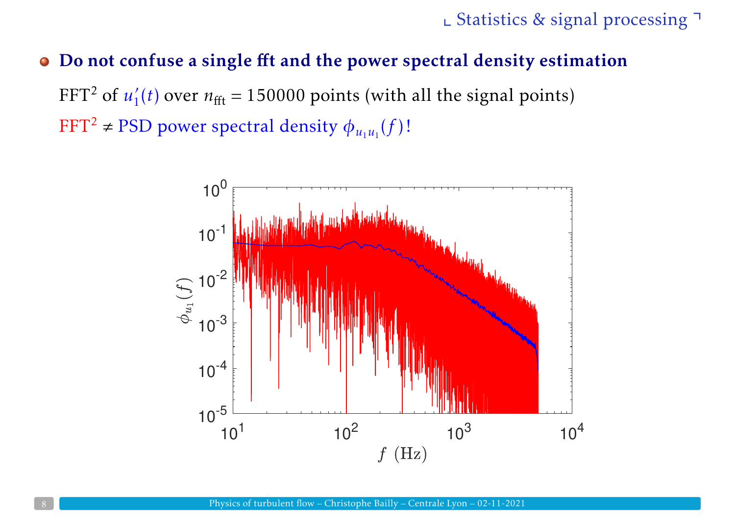### Do not confuse <sup>a</sup> single ff<sup>t</sup> and the power spectral density estimation

FFT<sup>2</sup> of  $u'_{1}(t)$  over  $n_{\text{fft}} = 150000$  points (with all the signal points)  $\mathrm{FFT}^2 \neq \mathrm{PSD}$  power spectral density  $\phi_{u_1u_1}(f)$ !

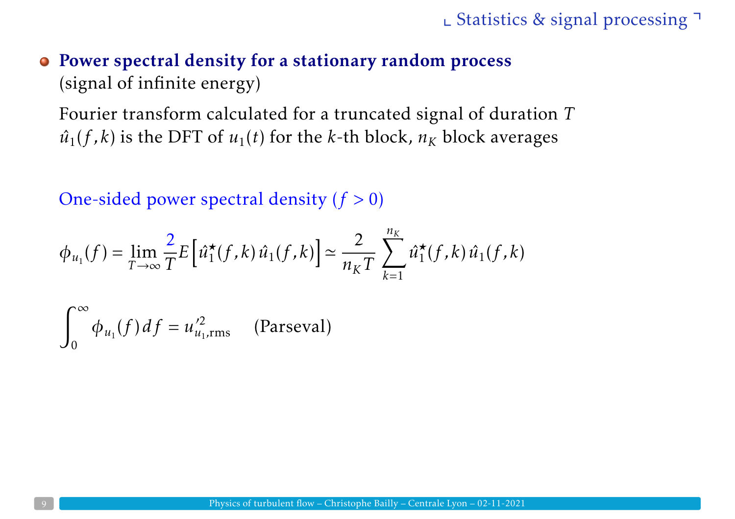# Power spectral density for <sup>a</sup> stationary random process (signal of infinite energy)

Fourier transform calculated for <sup>a</sup> truncated signal of duration *<sup>T</sup>*  $\hat{u}_1(f, k)$  is the DFT of  $u_1(t)$  for the *k*-th block,  $n_K$  block averages

One-sided power spectral density (*f <sup>&</sup>gt;* 0)

$$
\phi_{u_1}(f) = \lim_{T \to \infty} \frac{2}{T} E\left[\hat{u}_1^{\star}(f, k) \hat{u}_1(f, k)\right] \simeq \frac{2}{n_K T} \sum_{k=1}^{n_K} \hat{u}_1^{\star}(f, k) \hat{u}_1(f, k)
$$

$$
\int_0^\infty \phi_{u_1}(f) \, df = u_{u_1, \text{rms}}'^2 \qquad \text{(Parseval)}
$$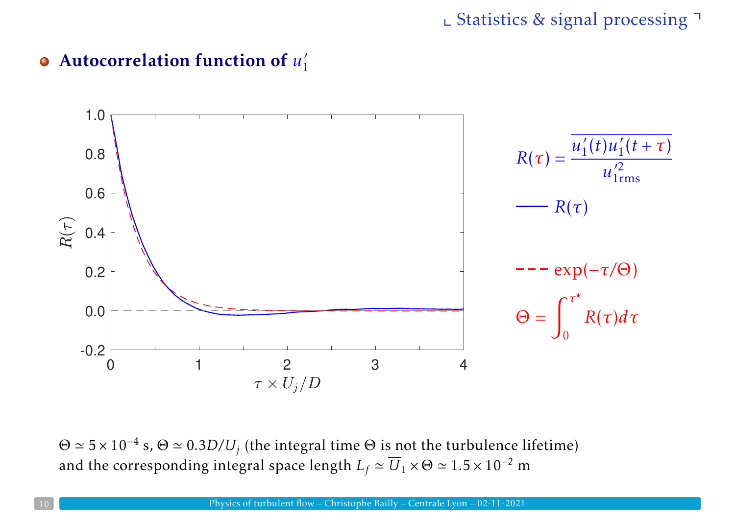# Autocorrelation function of *<sup>u</sup>*′<sup>1</sup>



 $\Theta \simeq 5 \times 10^{-4}$  s,  $\Theta \simeq 0.3D/U_j$  (the integral time  $\Theta$  is not the turbulence lifetime) and the corresponding integral space length  $L_f \simeq \overline{U}_1 \times \Theta \simeq 1.5 \times 10^{-2}$  m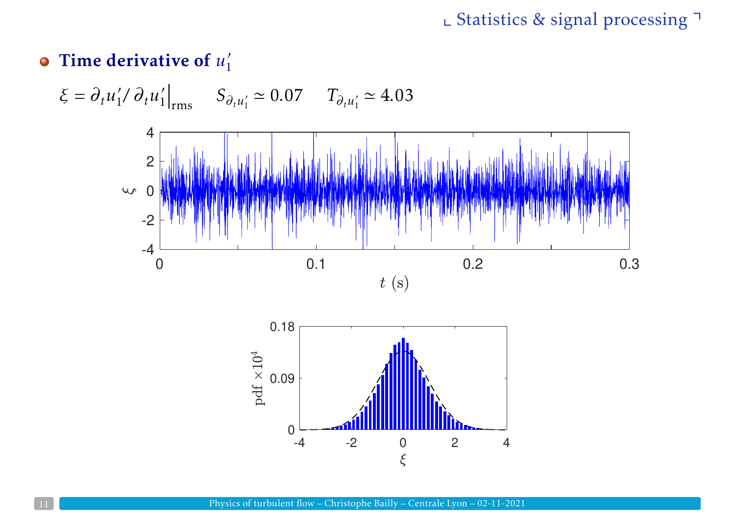# **• Time derivative of**  $u'_1$